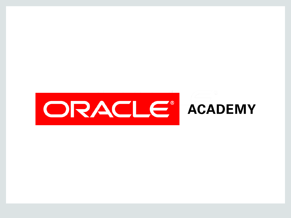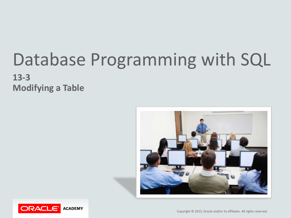### Database Programming with SQL **13-3 Modifying a Table**





Copyright © 2015, Oracle and/or its affiliates. All rights reserved.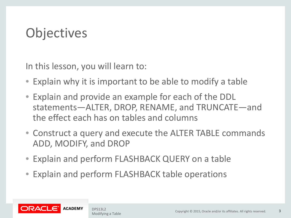# **Objectives**

In this lesson, you will learn to:

- Explain why it is important to be able to modify a table
- Explain and provide an example for each of the DDL statements—ALTER, DROP, RENAME, and TRUNCATE—and the effect each has on tables and columns
- Construct a query and execute the ALTER TABLE commands ADD, MODIFY, and DROP
- Explain and perform FLASHBACK QUERY on a table
- Explain and perform FLASHBACK table operations

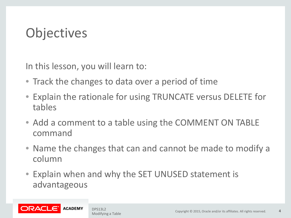# **Objectives**

In this lesson, you will learn to:

- Track the changes to data over a period of time
- Explain the rationale for using TRUNCATE versus DELETE for tables
- Add a comment to a table using the COMMENT ON TABLE command
- Name the changes that can and cannot be made to modify a column
- Explain when and why the SET UNUSED statement is advantageous

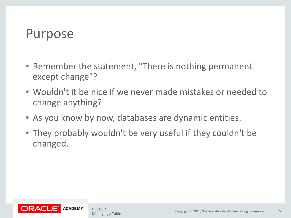#### Purpose

- Remember the statement, "There is nothing permanent except change"?
- Wouldn't it be nice if we never made mistakes or needed to change anything?
- As you know by now, databases are dynamic entities.
- They probably wouldn't be very useful if they couldn't be changed.

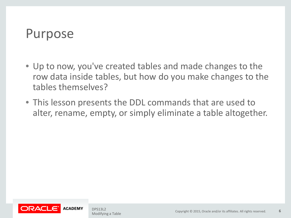#### Purpose

- Up to now, you've created tables and made changes to the row data inside tables, but how do you make changes to the tables themselves?
- This lesson presents the DDL commands that are used to alter, rename, empty, or simply eliminate a table altogether.

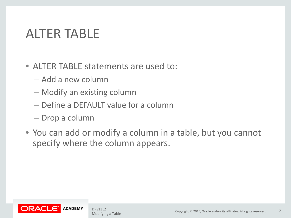# ALTER TABLE

- ALTER TABLE statements are used to:
	- Add a new column
	- Modify an existing column
	- Define a DEFAULT value for a column
	- Drop a column
- You can add or modify a column in a table, but you cannot specify where the column appears.

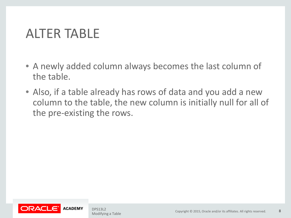# ALTER TABLE

- A newly added column always becomes the last column of the table.
- Also, if a table already has rows of data and you add a new column to the table, the new column is initially null for all of the pre-existing the rows.

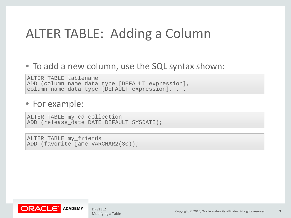# ALTER TABLE: Adding a Column

#### • To add a new column, use the SQL syntax shown:

ALTER TABLE tablename ADD (column name data type [DEFAULT expression], column name data type [DEFAULT expression], ...

#### • For example:

ALTER TABLE my\_cd\_collection ADD (release date DATE DEFAULT SYSDATE);

ALTER TABLE my\_friends ADD (favorite game VARCHAR2(30));

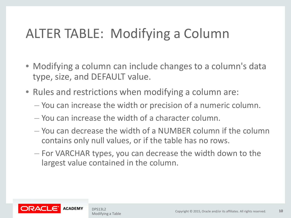# ALTER TABLE: Modifying a Column

- Modifying a column can include changes to a column's data type, size, and DEFAULT value.
- Rules and restrictions when modifying a column are:
	- You can increase the width or precision of a numeric column.
	- You can increase the width of a character column.
	- You can decrease the width of a NUMBER column if the column contains only null values, or if the table has no rows.
	- For VARCHAR types, you can decrease the width down to the largest value contained in the column.

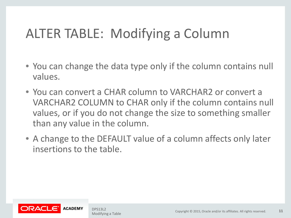# ALTER TABLE: Modifying a Column

- You can change the data type only if the column contains null values.
- You can convert a CHAR column to VARCHAR2 or convert a VARCHAR2 COLUMN to CHAR only if the column contains null values, or if you do not change the size to something smaller than any value in the column.
- A change to the DEFAULT value of a column affects only later insertions to the table.

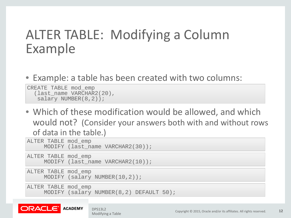### ALTER TABLE: Modifying a Column Example

#### • Example: a table has been created with two columns:

```
CREATE TABLE mod_emp<br>(last_name VARCHAR2(20),<br>salary NUMBER(8,2));
```
• Which of these modification would be allowed, and which would not? (Consider your answers both with and without rows of data in the table.)

| ALTER TABLE mod_emp | MODIFY (last name VARCHAR2(30));        |
|---------------------|-----------------------------------------|
| ALTER TABLE mod emp | MODIFY (last name VARCHAR2(10));        |
| ALTER TABLE mod emp | MODIFY (salary NUMBER(10,2));           |
| ALTER TABLE mod emp | MODIFY (salary NUMBER(8,2) DEFAULT 50); |

#### **ACADEMY**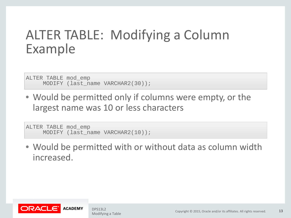### ALTER TABLE: Modifying a Column Example

ALTER TABLE mod\_emp<br>MODIFY (last\_name VARCHAR2(30));

• Would be permitted only if columns were empty, or the largest name was 10 or less characters

ALTER TABLE mod\_emp<br>MODIFY (last\_name VARCHAR2(10));

• Would be permitted with or without data as column width increased.

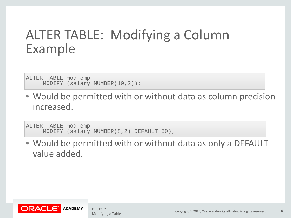### ALTER TABLE: Modifying a Column Example

ALTER TABLE mod\_emp<br>MODIFY (salary NUMBER(10,2));

• Would be permitted with or without data as column precision increased.

ALTER TABLE mod\_emp<br>MODIFY (salary NUMBER(8,2) DEFAULT 50);

• Would be permitted with or without data as only a DEFAULT value added.

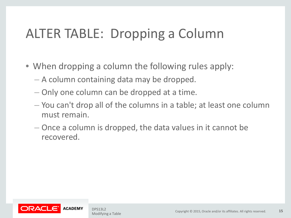# ALTER TABLE: Dropping a Column

- When dropping a column the following rules apply:
	- A column containing data may be dropped.
	- Only one column can be dropped at a time.
	- You can't drop all of the columns in a table; at least one column must remain.
	- Once a column is dropped, the data values in it cannot be recovered.

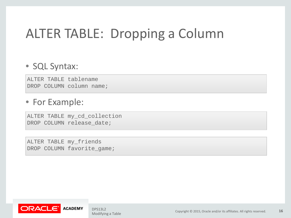# ALTER TABLE: Dropping a Column

#### • SQL Syntax:

ALTER TABLE tablename DROP COLUMN column name;

#### • For Example:

ALTER TABLE my\_cd\_collection DROP COLUMN release\_date;

ALTER TABLE my\_friends DROP COLUMN favorite game;

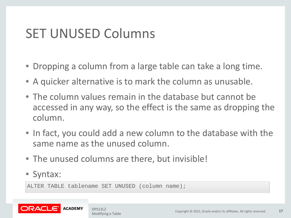# SET UNUSED Columns

- Dropping a column from a large table can take a long time.
- A quicker alternative is to mark the column as unusable.
- The column values remain in the database but cannot be accessed in any way, so the effect is the same as dropping the column.
- In fact, you could add a new column to the database with the same name as the unused column.
- The unused columns are there, but invisible!
- Syntax:

ALTER TABLE tablename SET UNUSED (column name);

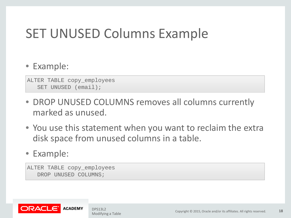# SET UNUSED Columns Example

#### • Example:

ALTER TABLE copy\_employees SET UNUSED (email);

- DROP UNUSED COLUMNS removes all columns currently marked as unused.
- You use this statement when you want to reclaim the extra disk space from unused columns in a table.

#### • Example:

ALTER TABLE copy\_employees DROP UNUSED COLUMNS;

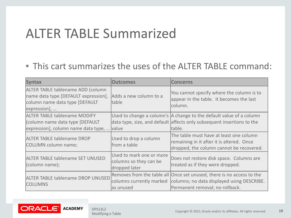### ALTER TABLE Summarized

#### • This cart summarizes the uses of the ALTER TABLE command:

| <b>Syntax</b>                                                                                                                      | <b>Outcomes</b>                                                     | <b>Concerns</b>                                                                                                                                                                 |
|------------------------------------------------------------------------------------------------------------------------------------|---------------------------------------------------------------------|---------------------------------------------------------------------------------------------------------------------------------------------------------------------------------|
| <b>ALTER TABLE tablename ADD (column</b><br>name data type [DEFAULT expression],<br>column name data type [DEFAULT<br>expression], | Adds a new column to a<br>table                                     | You cannot specify where the column is to<br>appear in the table. It becomes the last<br>column.                                                                                |
| <b>ALTER TABLE tablename MODIFY</b><br>(column name data type [DEFAULT<br>expression], column name data type,                      | <b>value</b>                                                        | Used to change a column's A change to the default value of a column<br>data type, size, and default affects only subsequent insertions to the<br>ltable.                        |
| <b>ALTER TABLE tablename DROP</b><br>COLUMN column name;                                                                           | Used to drop a column<br>from a table                               | The table must have at least one column<br>remaining in it after it is altered. Once<br>dropped, the column cannot be recovered.                                                |
| <b>ALTER TABLE tablename SET UNUSED</b><br>$ $ (column name);                                                                      | Used to mark one or more<br>columns so they can be<br>dropped later | Does not restore disk space. Columns are<br>treated as if they were dropped.                                                                                                    |
| <b>ALTER TABLE tablename DROP UNUSED</b><br><b>COLUMNS</b>                                                                         | as unused                                                           | Removes from the table all Once set unused, there is no access to the<br>columns currently marked columns; no data displayed using DESCRIBE.<br>Permanent removal; no rollback. |

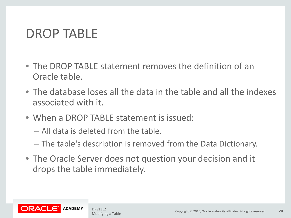### DROP TABLE

- The DROP TABLE statement removes the definition of an Oracle table.
- The database loses all the data in the table and all the indexes associated with it.
- When a DROP TABLE statement is issued:
	- All data is deleted from the table.
	- The table's description is removed from the Data Dictionary.
- The Oracle Server does not question your decision and it drops the table immediately.

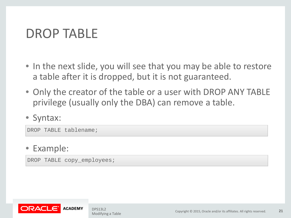### DROP TABLE

- In the next slide, you will see that you may be able to restore a table after it is dropped, but it is not guaranteed.
- Only the creator of the table or a user with DROP ANY TABLE privilege (usually only the DBA) can remove a table.
- Syntax:

DROP TABLE tablename;

#### • Example:

DROP TABLE copy employees;

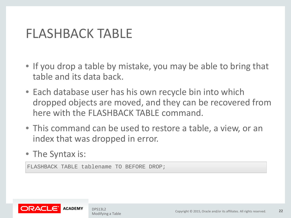- If you drop a table by mistake, you may be able to bring that table and its data back.
- Each database user has his own recycle bin into which dropped objects are moved, and they can be recovered from here with the FLASHBACK TABLE command.
- This command can be used to restore a table, a view, or an index that was dropped in error.
- The Syntax is:

FLASHBACK TABLE tablename TO BEFORE DROP;

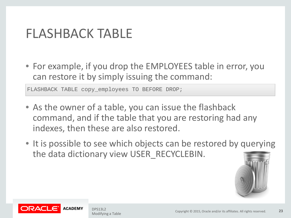• For example, if you drop the EMPLOYEES table in error, you can restore it by simply issuing the command:

FLASHBACK TABLE copy employees TO BEFORE DROP;

- As the owner of a table, you can issue the flashback command, and if the table that you are restoring had any indexes, then these are also restored.
- It is possible to see which objects can be restored by querying the data dictionary view USER\_RECYCLEBIN.



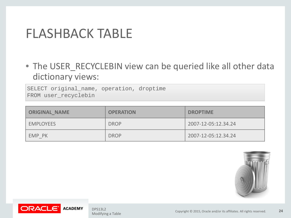• The USER\_RECYCLEBIN view can be queried like all other data dictionary views:

SELECT original\_name, operation, droptime FROM user\_recyclebin

| <b>ORIGINAL NAME</b> | <b>OPERATION</b> | <b>DROPTIME</b>     |
|----------------------|------------------|---------------------|
| <b>EMPLOYEES</b>     | <b>DROP</b>      | 2007-12-05:12.34.24 |
| EMP PK               | <b>DROP</b>      | 2007-12-05:12.34.24 |



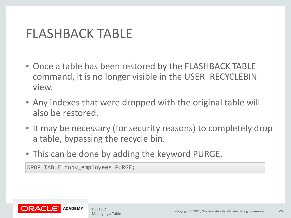- Once a table has been restored by the FLASHBACK TABLE command, it is no longer visible in the USER\_RECYCLEBIN view.
- Any indexes that were dropped with the original table will also be restored.
- It may be necessary (for security reasons) to completely drop a table, bypassing the recycle bin.
- This can be done by adding the keyword PURGE.

DROP TABLE copy\_employees PURGE;

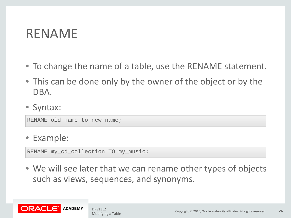#### RENAME

- To change the name of a table, use the RENAME statement.
- This can be done only by the owner of the object or by the DBA.
- Syntax:

RENAME old name to new name;

#### • Example:

RENAME my\_cd\_collection TO my\_music;

• We will see later that we can rename other types of objects such as views, sequences, and synonyms.

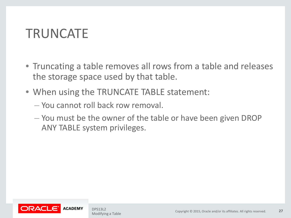### **TRUNCATE**

- Truncating a table removes all rows from a table and releases the storage space used by that table.
- When using the TRUNCATE TABLE statement:
	- You cannot roll back row removal.
	- You must be the owner of the table or have been given DROP ANY TABLE system privileges.

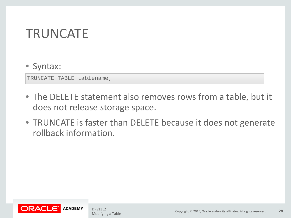### **TRUNCATE**

#### • Syntax:

TRUNCATE TABLE tablename;

- The DELETE statement also removes rows from a table, but it does not release storage space.
- TRUNCATE is faster than DELETE because it does not generate rollback information.

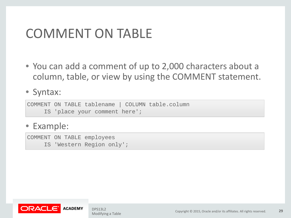# COMMENT ON TABLE

• You can add a comment of up to 2,000 characters about a column, table, or view by using the COMMENT statement.

#### • Syntax:

COMMENT ON TABLE tablename | COLUMN table.column IS 'place your comment here';

#### • Example:

COMMENT ON TABLE employees IS 'Western Region only';

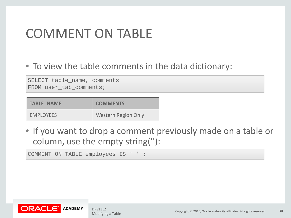# COMMENT ON TABLE

#### • To view the table comments in the data dictionary:

SELECT table\_name, comments FROM user tab comments;

| <b>TABLE NAME</b> | <b>COMMENTS</b>            |
|-------------------|----------------------------|
| <b>EMPLOYEES</b>  | <b>Western Region Only</b> |

• If you want to drop a comment previously made on a table or column, use the empty string(''):

COMMENT ON TABLE employees IS ' ' ;

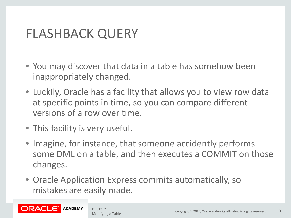- You may discover that data in a table has somehow been inappropriately changed.
- Luckily, Oracle has a facility that allows you to view row data at specific points in time, so you can compare different versions of a row over time.
- This facility is very useful.
- Imagine, for instance, that someone accidently performs some DML on a table, and then executes a COMMIT on those changes.
- Oracle Application Express commits automatically, so mistakes are easily made.

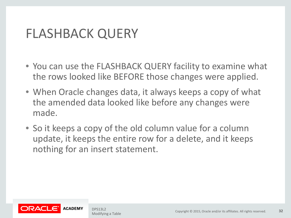- You can use the FLASHBACK QUERY facility to examine what the rows looked like BEFORE those changes were applied.
- When Oracle changes data, it always keeps a copy of what the amended data looked like before any changes were made.
- So it keeps a copy of the old column value for a column update, it keeps the entire row for a delete, and it keeps nothing for an insert statement.

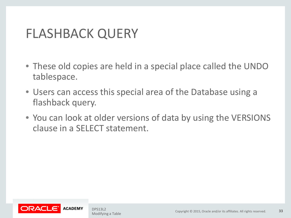- These old copies are held in a special place called the UNDO tablespace.
- Users can access this special area of the Database using a flashback query.
- You can look at older versions of data by using the VERSIONS clause in a SELECT statement.

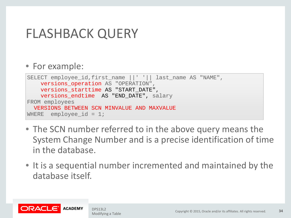#### • For example:

```
SELECT employee_id,first_name ||' '|| last_name AS "NAME",
    versions operation AS "OPERATION",
     versions_starttime AS "START_DATE", 
    versions_endtime AS "END_DATE", salary
FROM employees
VERSIONS BETWEEN SCN MINVALUE AND MAXVALUE<br>WHERE employee id = 1;
      employee id = 1;
```
- The SCN number referred to in the above query means the System Change Number and is a precise identification of time in the database.
- It is a sequential number incremented and maintained by the database itself.

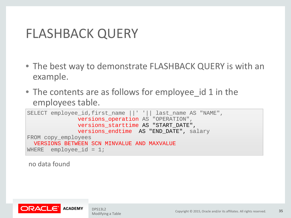- The best way to demonstrate FLASHBACK QUERY is with an example.
- The contents are as follows for employee id 1 in the employees table.

```
SELECT employee id,first name ||' '|| last name AS "NAME",
                 versions_operation AS "OPERATION",
                 versions_starttime AS "START_DATE", 
                 versions_endtime AS "END_DATE", salary 
FROM copy employees
VERSIONS BETWEEN SCN MINVALUE AND MAXVALUE<br>WHERE employee id = 1;
       employee id = 1;
```
no data found

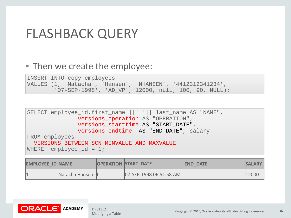#### • Then we create the employee:

INSERT INTO copy\_employees VALUES (1, 'Natacha', 'Hansen', 'NHANSEN', '4412312341234', '07-SEP-1998', 'AD\_VP', 12000, null, 100, 90, NULL);

| SELECT employee_id,first_name    11    last_name AS "NAME", |
|-------------------------------------------------------------|
| versions operation AS "OPERATION",                          |
| versions_starttime AS "START_DATE",                         |
| versions_endtime AS "END_DATE", salary                      |
| FROM employees                                              |
| VERSIONS BETWEEN SCN MINVALUE AND MAXVALUE                  |
| WHERE employee $id = 1$ ;                                   |

| <b>EMPLOYEE ID NAME</b> |                | <b>OPERATION START DATE</b> | <b>IEND DATE</b> | <b>ISALARY</b> |
|-------------------------|----------------|-----------------------------|------------------|----------------|
|                         | Natacha Hansen | 07-SEP-1998 06.51.58 AM     |                  | 12000          |

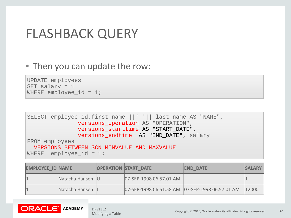#### • Then you can update the row:

UPDATE employees SET salary = 1 WHERE employee id =  $1;$ 

```
SELECT employee_id,first_name ||' '|| last_name AS "NAME",
               versions operation AS "OPERATION",
               versions starttime AS "START DATE",
                versions_endtime AS "END_DATE", salary 
FROM employees
  VERSIONS BETWEEN SCN MINVALUE AND MAXVALUE
WHERE employee id = 1;
```

| <b>EMPLOYEE ID NAME</b> |                   | <b>OPERATION START DATE</b>                     | <b>END DATE</b> | <b>ISALARY</b> |
|-------------------------|-------------------|-------------------------------------------------|-----------------|----------------|
|                         | Natacha Hansen  U | 07-SEP-1998 06.57.01 AM                         |                 |                |
|                         | Natacha Hansen II | 07-SEP-1998 06.51.58 AM 07-SEP-1998 06.57.01 AM |                 | 12000          |

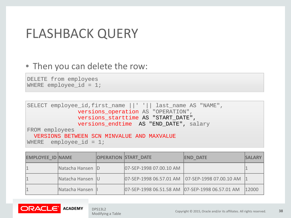#### • Then you can delete the row:

```
DELETE from employees
WHERE employee_id = 1;
```

```
SELECT employee id,first name ||' '|| last name AS "NAME",
                versions_operation AS "OPERATION",
                versions_starttime AS "START_DATE", 
                versions_endtime AS "END_DATE", salary 
FROM employees
  VERSIONS BETWEEN SCN MINVALUE AND MAXVALUE
WHERE employee id = 1;
```

| <b>EMPLOYEE ID NAME</b> |                   | <b>OPERATION START DATE</b>                       | IEND DATE | <b>SALARY</b> |
|-------------------------|-------------------|---------------------------------------------------|-----------|---------------|
|                         | Natacha Hansen D  | 07-SEP-1998 07.00.10 AM                           |           |               |
|                         | Natacha Hansen  U | 07-SEP-1998 06.57.01 AM   07-SEP-1998 07.00.10 AM |           |               |
|                         | Natacha Hansen    | 07-SEP-1998 06.51.58 AM 07-SEP-1998 06.57.01 AM   |           | 12000         |

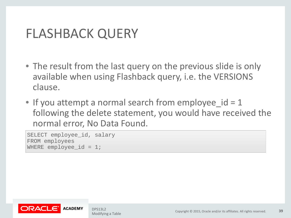- The result from the last query on the previous slide is only available when using Flashback query, i.e. the VERSIONS clause.
- If you attempt a normal search from employee  $id = 1$ following the delete statement, you would have received the normal error, No Data Found.

```
SELECT employee_id, salary
FROM employees
WHERE employee id = 1;
```
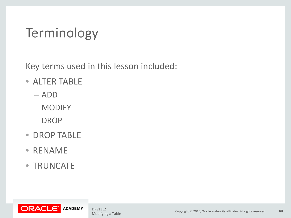# Terminology

Key terms used in this lesson included:

- ALTER TABLE
	- ADD
	- MODIFY
	- DROP
- DROP TABLE
- RENAME
- TRUNCATE

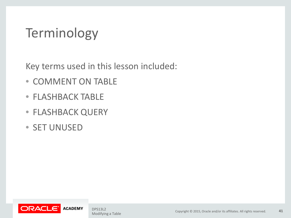# Terminology

Key terms used in this lesson included:

- COMMENT ON TABLE
- FLASHBACK TABLE
- FLASHBACK QUERY
- SET UNUSED

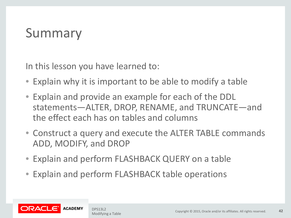# Summary

In this lesson you have learned to:

- Explain why it is important to be able to modify a table
- Explain and provide an example for each of the DDL statements—ALTER, DROP, RENAME, and TRUNCATE—and the effect each has on tables and columns
- Construct a query and execute the ALTER TABLE commands ADD, MODIFY, and DROP
- Explain and perform FLASHBACK QUERY on a table
- Explain and perform FLASHBACK table operations

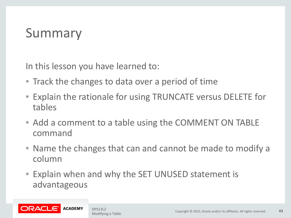## Summary

In this lesson you have learned to:

- Track the changes to data over a period of time
- Explain the rationale for using TRUNCATE versus DELETE for tables
- Add a comment to a table using the COMMENT ON TABLE command
- Name the changes that can and cannot be made to modify a column
- Explain when and why the SET UNUSED statement is advantageous